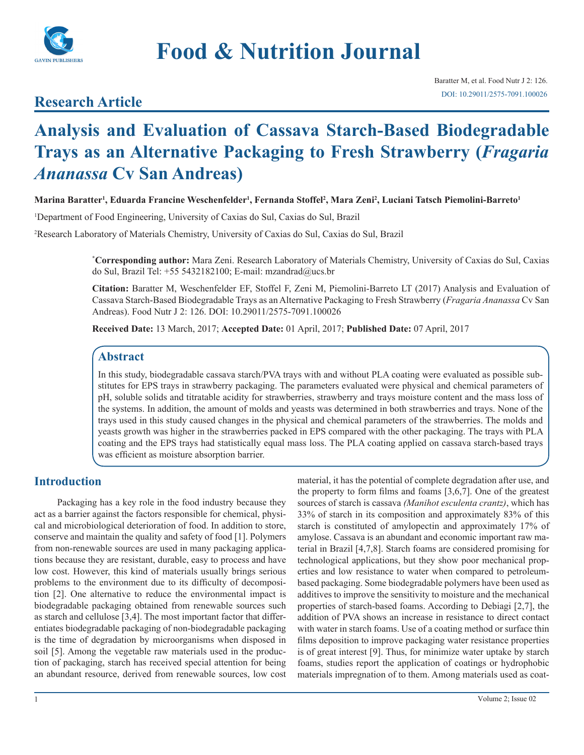

# **Food & Nutrition Journal**

## **Research Article**

## **Analysis and Evaluation of Cassava Starch-Based Biodegradable Trays as an Alternative Packaging to Fresh Strawberry (***Fragaria Ananassa* **Cv San Andreas)**

**Marina Baratter1 , Eduarda Francine Weschenfelder1 , Fernanda Stoffel2 , Mara Zeni2 , Luciani Tatsch Piemolini-Barreto1**

1 Department of Food Engineering, University of Caxias do Sul, Caxias do Sul, Brazil

2 Research Laboratory of Materials Chemistry, University of Caxias do Sul, Caxias do Sul, Brazil

**\* Corresponding author:** Mara Zeni. Research Laboratory of Materials Chemistry, University of Caxias do Sul, Caxias do Sul, Brazil Tel:  $+555432182100$ ; E-mail: mzandrad $@$ ucs.br

**Citation:** Baratter M, Weschenfelder EF, Stoffel F, Zeni M, Piemolini-Barreto LT (2017) Analysis and Evaluation of Cassava Starch-Based Biodegradable Trays as an Alternative Packaging to Fresh Strawberry (*Fragaria Ananassa* Cv San Andreas). Food Nutr J 2: 126. DOI: 10.29011/2575-7091.100026

**Received Date:** 13 March, 2017; **Accepted Date:** 01 April, 2017; **Published Date:** 07 April, 2017

## **Abstract**

In this study, biodegradable cassava starch/PVA trays with and without PLA coating were evaluated as possible substitutes for EPS trays in strawberry packaging. The parameters evaluated were physical and chemical parameters of pH, soluble solids and titratable acidity for strawberries, strawberry and trays moisture content and the mass loss of the systems. In addition, the amount of molds and yeasts was determined in both strawberries and trays. None of the trays used in this study caused changes in the physical and chemical parameters of the strawberries. The molds and yeasts growth was higher in the strawberries packed in EPS compared with the other packaging. The trays with PLA coating and the EPS trays had statistically equal mass loss. The PLA coating applied on cassava starch-based trays was efficient as moisture absorption barrier.

## **Introduction**

Packaging has a key role in the food industry because they act as a barrier against the factors responsible for chemical, physical and microbiological deterioration of food. In addition to store, conserve and maintain the quality and safety of food [1]. Polymers from non-renewable sources are used in many packaging applications because they are resistant, durable, easy to process and have low cost. However, this kind of materials usually brings serious problems to the environment due to its difficulty of decomposition [2]. One alternative to reduce the environmental impact is biodegradable packaging obtained from renewable sources such as starch and cellulose [3,4]. The most important factor that differentiates biodegradable packaging of non-biodegradable packaging is the time of degradation by microorganisms when disposed in soil [5]. Among the vegetable raw materials used in the production of packaging, starch has received special attention for being an abundant resource, derived from renewable sources, low cost material, it has the potential of complete degradation after use, and the property to form films and foams [3,6,7]. One of the greatest sources of starch is cassava *(Manihot esculenta crantz)*, which has 33% of starch in its composition and approximately 83% of this starch is constituted of amylopectin and approximately 17% of amylose. Cassava is an abundant and economic important raw material in Brazil [4,7,8]. Starch foams are considered promising for technological applications, but they show poor mechanical properties and low resistance to water when compared to petroleumbased packaging. Some biodegradable polymers have been used as additives to improve the sensitivity to moisture and the mechanical properties of starch-based foams. According to Debiagi [2,7], the addition of PVA shows an increase in resistance to direct contact with water in starch foams. Use of a coating method or surface thin films deposition to improve packaging water resistance properties is of great interest [9]. Thus, for minimize water uptake by starch foams, studies report the application of coatings or hydrophobic materials impregnation of to them. Among materials used as coat-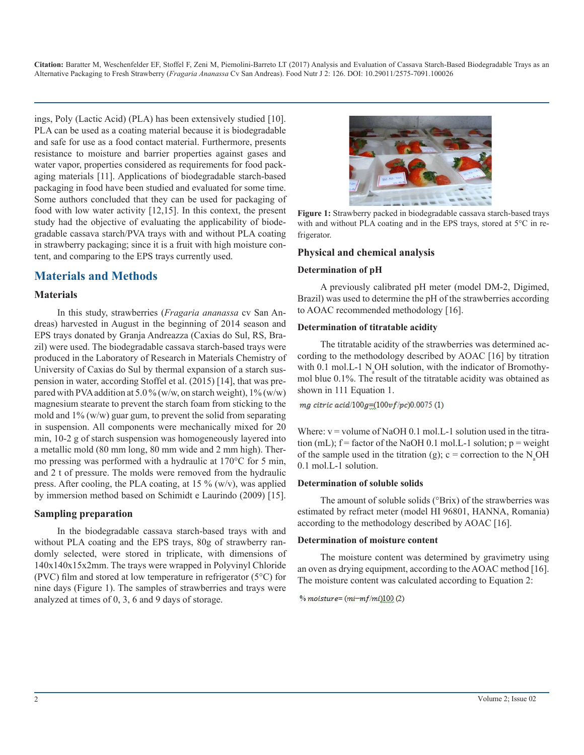ings, Poly (Lactic Acid) (PLA) has been extensively studied [10]. PLA can be used as a coating material because it is biodegradable and safe for use as a food contact material. Furthermore, presents resistance to moisture and barrier properties against gases and water vapor, properties considered as requirements for food packaging materials [11]. Applications of biodegradable starch-based packaging in food have been studied and evaluated for some time. Some authors concluded that they can be used for packaging of food with low water activity [12,15]. In this context, the present study had the objective of evaluating the applicability of biodegradable cassava starch/PVA trays with and without PLA coating in strawberry packaging; since it is a fruit with high moisture content, and comparing to the EPS trays currently used.

## **Materials and Methods**

#### **Materials**

In this study, strawberries (*Fragaria ananassa* cv San Andreas) harvested in August in the beginning of 2014 season and EPS trays donated by Granja Andreazza (Caxias do Sul, RS, Brazil) were used. The biodegradable cassava starch-based trays were produced in the Laboratory of Research in Materials Chemistry of University of Caxias do Sul by thermal expansion of a starch suspension in water, according Stoffel et al. (2015) [14], that was prepared with PVA addition at 5.0 % (w/w, on starch weight),  $1\%$  (w/w) magnesium stearate to prevent the starch foam from sticking to the mold and 1% (w/w) guar gum, to prevent the solid from separating in suspension. All components were mechanically mixed for 20 min, 10-2 g of starch suspension was homogeneously layered into a metallic mold (80 mm long, 80 mm wide and 2 mm high). Thermo pressing was performed with a hydraulic at 170°C for 5 min, and 2 t of pressure. The molds were removed from the hydraulic press. After cooling, the PLA coating, at 15  $\%$  (w/v), was applied by immersion method based on Schimidt e Laurindo (2009) [15].

#### **Sampling preparation**

In the biodegradable cassava starch-based trays with and without PLA coating and the EPS trays, 80g of strawberry randomly selected, were stored in triplicate, with dimensions of 140x140x15x2mm. The trays were wrapped in Polyvinyl Chloride (PVC) film and stored at low temperature in refrigerator (5°C) for nine days (Figure 1). The samples of strawberries and trays were analyzed at times of 0, 3, 6 and 9 days of storage.



**Figure 1:** Strawberry packed in biodegradable cassava starch-based trays with and without PLA coating and in the EPS trays, stored at 5°C in refrigerator.

#### **Physical and chemical analysis**

#### **Determination of pH**

A previously calibrated pH meter (model DM-2, Digimed, Brazil) was used to determine the pH of the strawberries according to AOAC recommended methodology [16].

#### **Determination of titratable acidity**

The titratable acidity of the strawberries was determined according to the methodology described by AOAC [16] by titration with 0.1 mol.L-1  $N_a$ OH solution, with the indicator of Bromothymol blue 0.1%. The result of the titratable acidity was obtained as shown in 111 Equation 1.

mg citric acid/100g= $(100vf/pc)0.0075(1)$ 

Where:  $v =$  volume of NaOH 0.1 mol. L-1 solution used in the titration (mL);  $f =$  factor of the NaOH 0.1 mol. L-1 solution;  $p =$  weight of the sample used in the titration (g);  $c =$  correction to the  $N_aOH$ 0.1 mol.L-1 solution.

#### **Determination of soluble solids**

The amount of soluble solids (°Brix) of the strawberries was estimated by refract meter (model HI 96801, HANNA, Romania) according to the methodology described by AOAC [16].

#### **Determination of moisture content**

The moisture content was determined by gravimetry using an oven as drying equipment, according to the AOAC method [16]. The moisture content was calculated according to Equation 2:

 $% moisture = (mi-mf/mi)100(2)$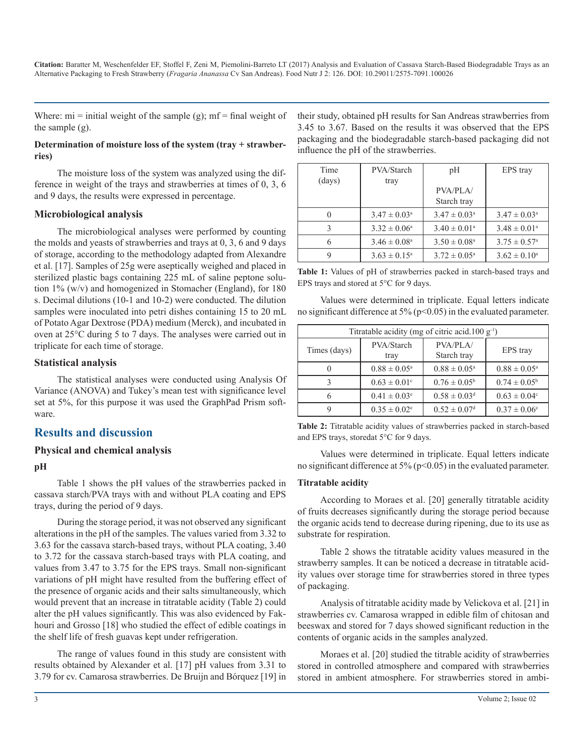Where:  $mi = initial weight of the sample (g)$ ;  $mf = final weight of$ the sample (g).

#### **Determination of moisture loss of the system (tray + strawberries)**

The moisture loss of the system was analyzed using the difference in weight of the trays and strawberries at times of 0, 3, 6 and 9 days, the results were expressed in percentage.

#### **Microbiological analysis**

The microbiological analyses were performed by counting the molds and yeasts of strawberries and trays at 0, 3, 6 and 9 days of storage, according to the methodology adapted from Alexandre et al. [17]. Samples of 25g were aseptically weighed and placed in sterilized plastic bags containing 225 mL of saline peptone solution 1% (w/v) and homogenized in Stomacher (England), for 180 s. Decimal dilutions (10-1 and 10-2) were conducted. The dilution samples were inoculated into petri dishes containing 15 to 20 mL of Potato Agar Dextrose (PDA) medium (Merck), and incubated in oven at 25°C during 5 to 7 days. The analyses were carried out in triplicate for each time of storage.

#### **Statistical analysis**

The statistical analyses were conducted using Analysis Of Variance (ANOVA) and Tukey's mean test with significance level set at 5%, for this purpose it was used the GraphPad Prism software.

## **Results and discussion**

#### **Physical and chemical analysis**

#### **pH**

Table 1 shows the pH values of the strawberries packed in cassava starch/PVA trays with and without PLA coating and EPS trays, during the period of 9 days.

During the storage period, it was not observed any significant alterations in the pH of the samples. The values varied from 3.32 to 3.63 for the cassava starch-based trays, without PLA coating, 3.40 to 3.72 for the cassava starch-based trays with PLA coating, and values from 3.47 to 3.75 for the EPS trays. Small non-significant variations of pH might have resulted from the buffering effect of the presence of organic acids and their salts simultaneously, which would prevent that an increase in titratable acidity (Table 2) could alter the pH values significantly. This was also evidenced by Fakhouri and Grosso [18] who studied the effect of edible coatings in the shelf life of fresh guavas kept under refrigeration.

The range of values found in this study are consistent with results obtained by Alexander et al. [17] pH values from 3.31 to 3.79 for cv. Camarosa strawberries. De Bruijn and Bórquez [19] in their study, obtained pH results for San Andreas strawberries from 3.45 to 3.67. Based on the results it was observed that the EPS packaging and the biodegradable starch-based packaging did not influence the pH of the strawberries.

| Time   | PVA/Starch                 | pH                         | EPS tray                     |
|--------|----------------------------|----------------------------|------------------------------|
| (days) | tray                       |                            |                              |
|        |                            | PVA/PLA/                   |                              |
|        |                            | Starch tray                |                              |
| 0      | $3.47 \pm 0.03^{\text{a}}$ | $3.47 \pm 0.03^{\circ}$    | $3.47 \pm 0.03^{\text{a}}$   |
| 3      | $3.32 \pm 0.06^{\circ}$    | $3.40 \pm 0.01^{\circ}$    | $3.48 \pm 0.01^{\circ}$      |
| 6      | $3.46 \pm 0.08^{\text{a}}$ | $3.50 \pm 0.08^{\text{a}}$ | $3.75 \pm 0.57$ <sup>a</sup> |
|        | $3.63 \pm 0.15^{\circ}$    | $3.72 \pm 0.05^{\text{a}}$ | $3.62 \pm 0.10^a$            |

|  |  |                                         |  | <b>Table 1:</b> Values of pH of strawberries packed in starch-based trays and |  |
|--|--|-----------------------------------------|--|-------------------------------------------------------------------------------|--|
|  |  | EPS trays and stored at 5°C for 9 days. |  |                                                                               |  |

Values were determined in triplicate. Equal letters indicate no significant difference at  $5\%$  ( $p<0.05$ ) in the evaluated parameter.

| Titratable acidity (mg of citric acid.100 $g^{-1}$ ) |                              |                              |                              |  |  |  |
|------------------------------------------------------|------------------------------|------------------------------|------------------------------|--|--|--|
| Times (days)                                         | PVA/Starch<br>tray           | PVA/PLA/<br>Starch tray      | EPS tray                     |  |  |  |
|                                                      | $0.88 \pm 0.05^{\text{a}}$   | $0.88 \pm 0.05^{\text{a}}$   | $0.88 \pm 0.05^{\text{a}}$   |  |  |  |
|                                                      | $0.63 \pm 0.01$ <sup>c</sup> | $0.76 \pm 0.05^{\rm b}$      | $0.74 \pm 0.05^{\rm b}$      |  |  |  |
|                                                      | $0.41 \pm 0.03^e$            | $0.58 \pm 0.03$ <sup>d</sup> | $0.63 \pm 0.04$ <sup>c</sup> |  |  |  |
|                                                      | $0.35 \pm 0.02$ <sup>e</sup> | $0.52 \pm 0.07$ <sup>d</sup> | $0.37 \pm 0.06^{\circ}$      |  |  |  |

**Table 2:** Titratable acidity values of strawberries packed in starch-based and EPS trays, storedat 5°C for 9 days.

Values were determined in triplicate. Equal letters indicate no significant difference at 5% (p<0.05) in the evaluated parameter.

#### **Titratable acidity**

According to Moraes et al. [20] generally titratable acidity of fruits decreases significantly during the storage period because the organic acids tend to decrease during ripening, due to its use as substrate for respiration.

Table 2 shows the titratable acidity values measured in the strawberry samples. It can be noticed a decrease in titratable acidity values over storage time for strawberries stored in three types of packaging.

Analysis of titratable acidity made by Velickova et al. [21] in strawberries cv. Camarosa wrapped in edible film of chitosan and beeswax and stored for 7 days showed significant reduction in the contents of organic acids in the samples analyzed.

Moraes et al. [20] studied the titrable acidity of strawberries stored in controlled atmosphere and compared with strawberries stored in ambient atmosphere. For strawberries stored in ambi-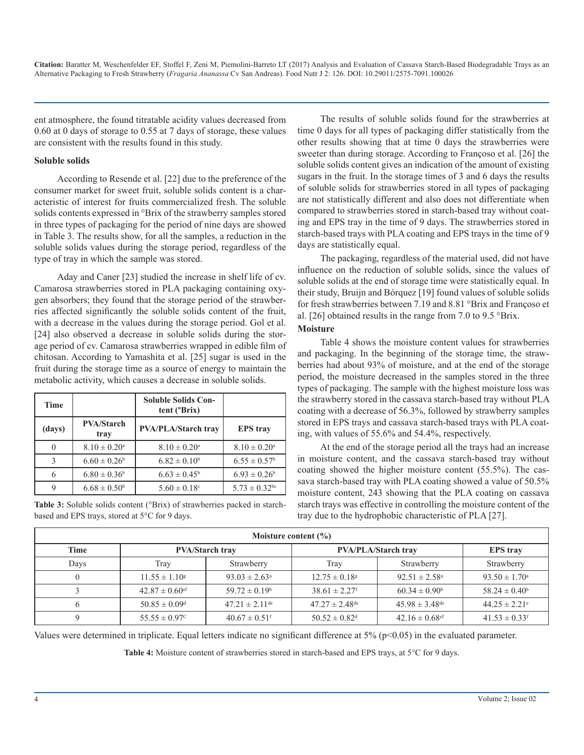ent atmosphere, the found titratable acidity values decreased from 0.60 at 0 days of storage to 0.55 at 7 days of storage, these values are consistent with the results found in this study.

#### **Soluble solids**

According to Resende et al. [22] due to the preference of the consumer market for sweet fruit, soluble solids content is a characteristic of interest for fruits commercialized fresh. The soluble solids contents expressed in °Brix of the strawberry samples stored in three types of packaging for the period of nine days are showed in Table 3. The results show, for all the samples, a reduction in the soluble solids values during the storage period, regardless of the type of tray in which the sample was stored.

Aday and Caner [23] studied the increase in shelf life of cv. Camarosa strawberries stored in PLA packaging containing oxygen absorbers; they found that the storage period of the strawberries affected significantly the soluble solids content of the fruit, with a decrease in the values during the storage period. Gol et al. [24] also observed a decrease in soluble solids during the storage period of cv. Camarosa strawberries wrapped in edible film of chitosan. According to Yamashita et al. [25] sugar is used in the fruit during the storage time as a source of energy to maintain the metabolic activity, which causes a decrease in soluble solids.

| Time          |                            | <b>Soluble Solids Con-</b><br>tent (°Brix) |                               |
|---------------|----------------------------|--------------------------------------------|-------------------------------|
| (days)        | <b>PVA/Starch</b><br>tray  | <b>PVA/PLA/Starch trav</b>                 | <b>EPS</b> trav               |
| $\Omega$      | $8.10 \pm 0.20^{\text{a}}$ | $8.10 \pm 0.20^{\text{a}}$                 | $8.10 \pm 0.20^{\circ}$       |
| $\mathcal{E}$ | $6.60 \pm 0.26^b$          | $6.82 \pm 0.10^b$                          | $6.55 \pm 0.57^{\rm b}$       |
| 6             | $6.80 \pm 0.36^b$          | $6.63 \pm 0.45^{\rm b}$                    | $6.93 \pm 0.26^b$             |
| 9             | $6.68 \pm 0.50^b$          | $5.60 \pm 0.18$ <sup>c</sup>               | $5.73 \pm 0.32$ <sup>bc</sup> |

Table 3: Soluble solids content (°Brix) of strawberries packed in starchbased and EPS trays, stored at 5°C for 9 days.

The results of soluble solids found for the strawberries at time 0 days for all types of packaging differ statistically from the other results showing that at time 0 days the strawberries were sweeter than during storage. According to Françoso et al. [26] the soluble solids content gives an indication of the amount of existing sugars in the fruit. In the storage times of 3 and 6 days the results of soluble solids for strawberries stored in all types of packaging are not statistically different and also does not differentiate when compared to strawberries stored in starch-based tray without coating and EPS tray in the time of 9 days. The strawberries stored in starch-based trays with PLA coating and EPS trays in the time of 9 days are statistically equal.

The packaging, regardless of the material used, did not have influence on the reduction of soluble solids, since the values of soluble solids at the end of storage time were statistically equal. In their study, Bruijn and Bórquez [19] found values of soluble solids for fresh strawberries between 7.19 and 8.81 °Brix and Françoso et al. [26] obtained results in the range from 7.0 to 9.5 °Brix. **Moisture**

Table 4 shows the moisture content values for strawberries and packaging. In the beginning of the storage time, the strawberries had about 93% of moisture, and at the end of the storage period, the moisture decreased in the samples stored in the three types of packaging. The sample with the highest moisture loss was the strawberry stored in the cassava starch-based tray without PLA coating with a decrease of 56.3%, followed by strawberry samples stored in EPS trays and cassava starch-based trays with PLA coating, with values of 55.6% and 54.4%, respectively.

At the end of the storage period all the trays had an increase in moisture content, and the cassava starch-based tray without coating showed the higher moisture content (55.5%). The cassava starch-based tray with PLA coating showed a value of 50.5% moisture content, 243 showing that the PLA coating on cassava starch trays was effective in controlling the moisture content of the tray due to the hydrophobic characteristic of PLA [27].

| Moisture content $(\% )$ |                                |                                |                               |                                |                               |  |  |
|--------------------------|--------------------------------|--------------------------------|-------------------------------|--------------------------------|-------------------------------|--|--|
| <b>Time</b>              | <b>PVA/Starch tray</b>         |                                | <b>PVA/PLA/Starch trav</b>    | <b>EPS</b> trav                |                               |  |  |
| Days                     | Tray                           | Strawberry                     | Trav                          | Strawberry                     | Strawberry                    |  |  |
|                          | $11.55 \pm 1.10^8$             | $93.03 \pm 2.63^{\circ}$       | $12.75 \pm 0.18$ <sup>g</sup> | $92.51 \pm 2.58$ <sup>a</sup>  | $93.50 \pm 1.70^{\circ}$      |  |  |
|                          | $42.87 \pm 0.60$ <sup>ef</sup> | $59.72 \pm 0.19^b$             | $38.61 \pm 2.27$ <sup>f</sup> | $60.34 \pm 0.90^b$             | $58.24 \pm 0.40^b$            |  |  |
|                          | $50.85 \pm 0.09$ <sup>d</sup>  | $47.21 \pm 2.11$ <sup>de</sup> | $47.27 \pm 2.48^{\text{de}}$  | $45.98 \pm 3.48^{\text{de}}$   | $44.25 \pm 2.21$ <sup>e</sup> |  |  |
|                          | $55.55 \pm 0.97^{\circ}$       | $40.67 \pm 0.51$ <sup>f</sup>  | $50.52 \pm 0.82$ <sup>d</sup> | $42.16 \pm 0.68$ <sup>ef</sup> | $41.53 \pm 0.33$ <sup>f</sup> |  |  |

Values were determined in triplicate. Equal letters indicate no significant difference at  $5\%$  (p<0.05) in the evaluated parameter.

Table 4: Moisture content of strawberries stored in starch-based and EPS trays, at 5°C for 9 days.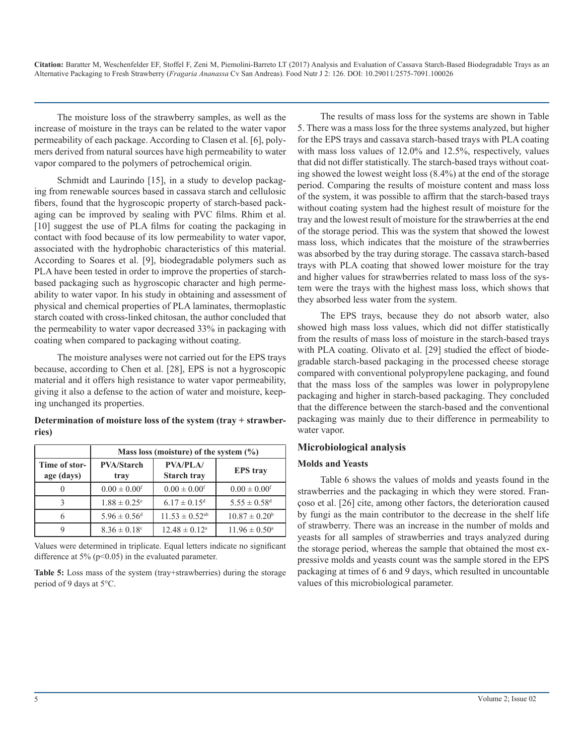The moisture loss of the strawberry samples, as well as the increase of moisture in the trays can be related to the water vapor permeability of each package. According to Clasen et al. [6], polymers derived from natural sources have high permeability to water vapor compared to the polymers of petrochemical origin.

Schmidt and Laurindo [15], in a study to develop packaging from renewable sources based in cassava starch and cellulosic fibers, found that the hygroscopic property of starch-based packaging can be improved by sealing with PVC films. Rhim et al. [10] suggest the use of PLA films for coating the packaging in contact with food because of its low permeability to water vapor, associated with the hydrophobic characteristics of this material. According to Soares et al. [9], biodegradable polymers such as PLA have been tested in order to improve the properties of starchbased packaging such as hygroscopic character and high permeability to water vapor. In his study in obtaining and assessment of physical and chemical properties of PLA laminates, thermoplastic starch coated with cross-linked chitosan, the author concluded that the permeability to water vapor decreased 33% in packaging with coating when compared to packaging without coating.

The moisture analyses were not carried out for the EPS trays because, according to Chen et al. [28], EPS is not a hygroscopic material and it offers high resistance to water vapor permeability, giving it also a defense to the action of water and moisture, keeping unchanged its properties.

#### **Determination of moisture loss of the system (tray + strawberries)**

|                             | Mass loss (moisture) of the system $(\% )$                         |                                |                              |  |  |  |
|-----------------------------|--------------------------------------------------------------------|--------------------------------|------------------------------|--|--|--|
| Time of stor-<br>age (days) | <b>PVA/PLA/</b><br><b>PVA/Starch</b><br><b>Starch tray</b><br>tray |                                | <b>EPS</b> tray              |  |  |  |
|                             | $0.00 \pm 0.00$ <sup>f</sup>                                       | $0.00 \pm 0.00$ <sup>f</sup>   | $0.00 \pm 0.00$ <sup>f</sup> |  |  |  |
| ζ                           | $1.88 \pm 0.25$ <sup>e</sup>                                       | $6.17 \pm 0.15$ <sup>d</sup>   | $5.55 \pm 0.58$ <sup>d</sup> |  |  |  |
| 6                           | $5.96 \pm 0.56$ <sup>d</sup>                                       | $11.53 \pm 0.52$ <sup>ab</sup> | $10.87 \pm 0.20^b$           |  |  |  |
|                             | $8.36 \pm 0.18$ <sup>c</sup>                                       | $12.48 \pm 0.12^a$             | $11.96 \pm 0.50^{\circ}$     |  |  |  |

Values were determined in triplicate. Equal letters indicate no significant difference at  $5\%$  (p<0.05) in the evaluated parameter.

**Table 5:** Loss mass of the system (tray+strawberries) during the storage period of 9 days at 5°C.

The results of mass loss for the systems are shown in Table 5. There was a mass loss for the three systems analyzed, but higher for the EPS trays and cassava starch-based trays with PLA coating with mass loss values of 12.0% and 12.5%, respectively, values that did not differ statistically. The starch-based trays without coating showed the lowest weight loss (8.4%) at the end of the storage period. Comparing the results of moisture content and mass loss of the system, it was possible to affirm that the starch-based trays without coating system had the highest result of moisture for the tray and the lowest result of moisture for the strawberries at the end of the storage period. This was the system that showed the lowest mass loss, which indicates that the moisture of the strawberries was absorbed by the tray during storage. The cassava starch-based trays with PLA coating that showed lower moisture for the tray and higher values for strawberries related to mass loss of the system were the trays with the highest mass loss, which shows that they absorbed less water from the system.

The EPS trays, because they do not absorb water, also showed high mass loss values, which did not differ statistically from the results of mass loss of moisture in the starch-based trays with PLA coating. Olivato et al. [29] studied the effect of biodegradable starch-based packaging in the processed cheese storage compared with conventional polypropylene packaging, and found that the mass loss of the samples was lower in polypropylene packaging and higher in starch-based packaging. They concluded that the difference between the starch-based and the conventional packaging was mainly due to their difference in permeability to water vapor.

#### **Microbiological analysis**

#### **Molds and Yeasts**

Table 6 shows the values of molds and yeasts found in the strawberries and the packaging in which they were stored. Françoso et al. [26] cite, among other factors, the deterioration caused by fungi as the main contributor to the decrease in the shelf life of strawberry. There was an increase in the number of molds and yeasts for all samples of strawberries and trays analyzed during the storage period, whereas the sample that obtained the most expressive molds and yeasts count was the sample stored in the EPS packaging at times of 6 and 9 days, which resulted in uncountable values of this microbiological parameter.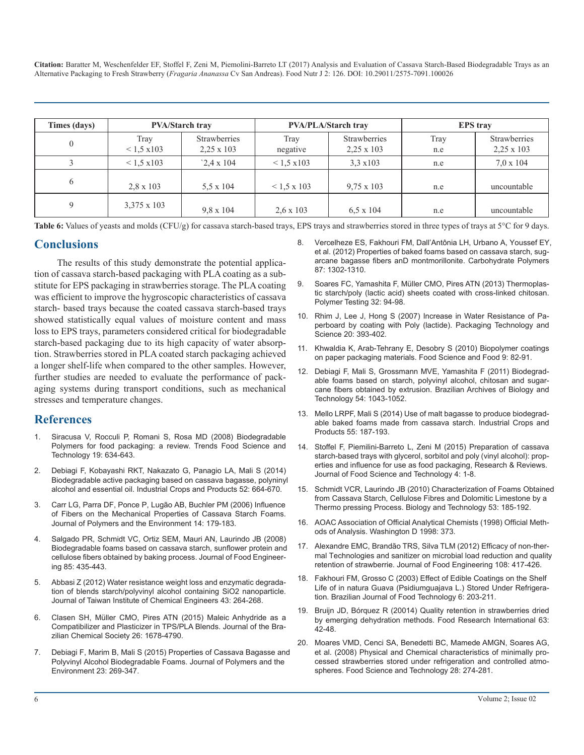| Times (days) | <b>PVA/Starch trav</b>     |                                          |                    | <b>PVA/PLA/Starch trav</b>               | <b>EPS</b> trav |                                          |  |
|--------------|----------------------------|------------------------------------------|--------------------|------------------------------------------|-----------------|------------------------------------------|--|
|              | Tray<br>$< 1.5 \times 103$ | <b>Strawberries</b><br>$2,25 \times 103$ | Trav<br>negative   | <b>Strawberries</b><br>$2.25 \times 103$ | Tray<br>n.e     | <b>Strawberries</b><br>$2.25 \times 103$ |  |
|              | $< 1.5 \times 103$         | $2.4 \times 104$                         | $< 1.5 \times 103$ | $3.3 \times 103$                         | n.e             | $7.0 \times 104$                         |  |
| 6            | $2.8 \times 103$           | $5.5 \times 104$                         | $< 1.5 \times 103$ | $9.75 \times 103$                        | n.e             | uncountable                              |  |
|              | $3.375 \times 103$         | $9.8 \times 104$                         | $2.6 \times 103$   | $6.5 \times 104$                         | n.e             | uncountable                              |  |

Table 6: Values of yeasts and molds (CFU/g) for cassava starch-based trays, EPS trays and strawberries stored in three types of trays at 5°C for 9 days.

## **Conclusions**

The results of this study demonstrate the potential application of cassava starch-based packaging with PLA coating as a substitute for EPS packaging in strawberries storage. The PLA coating was efficient to improve the hygroscopic characteristics of cassava starch- based trays because the coated cassava starch-based trays showed statistically equal values of moisture content and mass loss to EPS trays, parameters considered critical for biodegradable starch-based packaging due to its high capacity of water absorption. Strawberries stored in PLA coated starch packaging achieved a longer shelf-life when compared to the other samples. However, further studies are needed to evaluate the performance of packaging systems during transport conditions, such as mechanical stresses and temperature changes.

## **References**

- 1. [Siracusa V, Rocculi P, Romani S, Rosa MD \(2008\) Biodegradable](http://www.sciencedirect.com/science/article/pii/S0924224408002185)  Polymers for food packaging: a review. Trends Food Science and [Technology 19: 634-643.](http://www.sciencedirect.com/science/article/pii/S0924224408002185)
- 2. [Debiagi F, Kobayashi RKT, Nakazato G, Panagio LA, Mali S \(2014\)](http://www.sciencedirect.com/science/article/pii/S0926669013006584)  Biodegradable active packaging based on cassava bagasse, polyninyl [alcohol and essential oil. Industrial Crops and Products 52: 664-670.](http://www.sciencedirect.com/science/article/pii/S0926669013006584)
- 3. [Carr LG, Parra DF, Ponce P, Lugão AB, Buchler PM \(2006\) Influence](https://link.springer.com/article/10.1007/s10924-006-0008-5)  of Fibers on the Mechanical Properties of Cassava Starch Foams. [Journal of Polymers and the Environment 14: 179-183.](https://link.springer.com/article/10.1007/s10924-006-0008-5)
- 4. [Salgado PR, Schmidt VC, Ortiz SEM, Mauri AN, Laurindo JB \(2008\)](http://www.sciencedirect.com/science/article/pii/S0260877407004359)  Biodegradable foams based on cassava starch, sunflower protein and [cellulose fibers obtained by baking process. Journal of Food Engineer](http://www.sciencedirect.com/science/article/pii/S0260877407004359)[ing 85: 435-443.](http://www.sciencedirect.com/science/article/pii/S0260877407004359)
- 5. [Abbasi Z \(2012\) Water resistance weight loss and enzymatic degrada](http://www.sciencedirect.com/science/article/pii/S1876107011001416)tion of blends starch/polyvinyl alcohol containing SiO2 nanoparticle. [Journal of Taiwan Institute of Chemical Engineers 43: 264-268.](http://www.sciencedirect.com/science/article/pii/S1876107011001416)
- 6. [Clasen SH, Müller CMO, Pires ATN \(2015\) Maleic Anhydride as a](http://www.scielo.br/scielo.php?script=sci_arttext&pid=S0103-50532015000801583)  Compatibilizer and Plasticizer in TPS/PLA Blends. Journal of the Bra[zilian Chemical Society 26: 1678-4790.](http://www.scielo.br/scielo.php?script=sci_arttext&pid=S0103-50532015000801583)
- 7. [Debiagi F, Marim B, Mali S \(2015\) Properties of Cassava Bagasse and](https://link.springer.com/article/10.1007/s10924-014-0705-4)  Polyvinyl Alcohol Biodegradable Foams. Journal of Polymers and the [Environment 23: 269-347.](https://link.springer.com/article/10.1007/s10924-014-0705-4)
- 8. [Vercelheze ES, Fakhouri FM, Dall'Antônia LH, Urbano A, Youssef EY,](http://www.sciencedirect.com/science/article/pii/S0144861711007995)  et al. (2012) Properties of baked foams based on cassava starch, sug[arcane bagasse fibers anD montmorillonite. Carbohydrate Polymers](http://www.sciencedirect.com/science/article/pii/S0144861711007995)  [87: 1302-1310.](http://www.sciencedirect.com/science/article/pii/S0144861711007995)
- 9. [Soares FC, Yamashita F, Müller CMO, Pires ATN \(2013\) Thermoplas](http://www.sciencedirect.com/science/article/pii/S0142941812001845)tic starch/poly (lactic acid) sheets coated with cross-linked chitosan. [Polymer Testing 32: 94-98.](http://www.sciencedirect.com/science/article/pii/S0142941812001845)
- 10. [Rhim J, Lee J, Hong S \(2007\) Increase in Water Resistance of Pa](http://onlinelibrary.wiley.com/doi/10.1002/pts.767/abstract)perboard by coating with Poly (lactide). Packaging Technology and [Science 20: 393-402.](http://onlinelibrary.wiley.com/doi/10.1002/pts.767/abstract)
- 11. [Khwaldia K, Arab-Tehrany E, Desobry S \(2010\) Biopolymer coatings](http://onlinelibrary.wiley.com/doi/10.1111/j.1541-4337.2009.00095.x/full)  on paper packaging materials. Food Science and Food 9: 82-91.
- 12. [Debiagi F, Mali S, Grossmann MVE, Yamashita F \(2011\) Biodegrad](http://www.scielo.br/scielo.php?script=sci_arttext&pid=S1516-89132011000500023)able foams based on starch, polyvinyl alcohol, chitosan and sugar[cane fibers obtained by extrusion. Brazilian Archives of Biology and](http://www.scielo.br/scielo.php?script=sci_arttext&pid=S1516-89132011000500023) [Technology 54: 1043-1052.](http://www.scielo.br/scielo.php?script=sci_arttext&pid=S1516-89132011000500023)
- 13. [Mello LRPF, Mali S \(2014\) Use of malt bagasse to produce biodegrad](http://www.sciencedirect.com/science/article/pii/S0926669014000934)able baked foams made from cassava starch. Industrial Crops and [Products 55: 187-193.](http://www.sciencedirect.com/science/article/pii/S0926669014000934)
- 14. [Stoffel F, Piemilini-Barreto L, Zeni M \(2015\) Preparation of cassava](http://citeweb.info/20151178208) starch-based trays with glycerol, sorbitol and poly (vinyl alcohol): prop[erties and influence for use as food packaging, Research & Reviews.](http://citeweb.info/20151178208)  [Journal of Food Science and Technology 4: 1-8.](http://citeweb.info/20151178208)
- 15. [Schmidt VCR, Laurindo JB \(2010\) Characterization of Foams Obtaine](http://www.scielo.br/scielo.php?script=sci_arttext&pid=S1516-89132010000100023)d from Cassava Starch, Cellulose Fibres and Dolomitic Limestone by a [Thermo pressing Process. Biology and Technology 53: 185-192.](http://www.scielo.br/scielo.php?script=sci_arttext&pid=S1516-89132010000100023)
- 16. AOAC Association of Official Analytical Chemists (1998) Official Methods of Analysis. Washington D 1998: 373.
- 17. [Alexandre EMC, Brandão TRS, Silva TLM \(2012\) Efficacy of non-ther](http://www.sciencedirect.com/science/article/pii/S0260877411004729)mal Technologies and sanitizer on microbial load reduction and qualit[y](http://www.sciencedirect.com/science/article/pii/S0260877411004729)  [retention of strawberrie. Journal of Food Engineering 108: 417-426.](http://www.sciencedirect.com/science/article/pii/S0260877411004729)
- 18. [Fakhouri FM, Grosso C \(2003\) Effect of Edible Coatings on the Shelf](http://www.ital.sp.gov.br/bj/artigos/html/busca/PDF/v6nu132a.pdf)  [Life of in natura Guava \(Psidiumguajava L.\) Stored Under Refrigera](http://www.sciencedirect.com/science/article/pii/S1876107011001416)[tion. Brazilian Journal of Food Technology 6: 203-211.](http://www.ital.sp.gov.br/bj/artigos/html/busca/PDF/v6nu132a.pdf)
- 19. [Bruijn JD, Bórquez R \(20014\) Quality retention in strawberries dried](http://www.sciencedirect.com/science/article/pii/S0963996914001987)  [by emerging dehydration methods. Food Research International 63:](http://www.scielo.br/scielo.php?script=sci_arttext&pid=S0103-50532015000801583) [42-48.](http://www.sciencedirect.com/science/article/pii/S0963996914001987)
- 20. [Moares VMD, Cenci SA, Benedetti BC, Mamede AMGN, Soares AG,](http://www.scielo.br/scielo.php?script=sci_arttext&pid=S0101-20612008000200003)  et al. (2008) Physical and Chemical characteristics of minimally pro[cessed strawberries stored under refrigeration and controlled atmo](https://link.springer.com/article/10.1007/s10924-014-0705-4)[spheres. Food Science and Technology 28: 274-281.](http://www.scielo.br/scielo.php?script=sci_arttext&pid=S0101-20612008000200003)